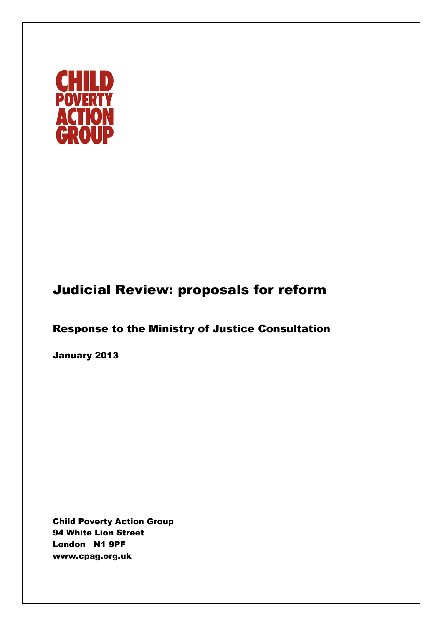

# Judicial Review: proposals for reform

# Response to the Ministry of Justice Consultation

January 2013

Child Poverty Action Group 94 White Lion Street London N1 9PF www.cpag.org.uk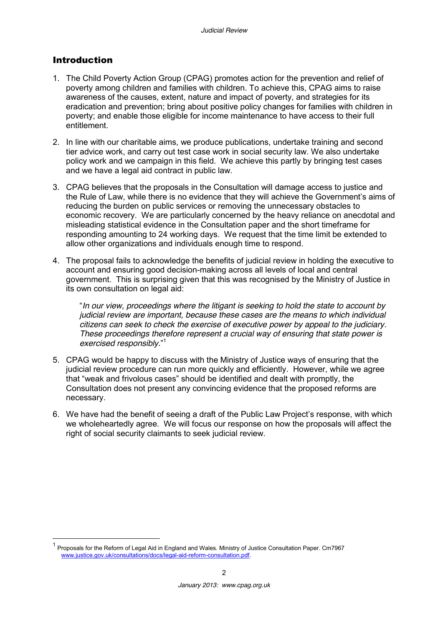#### Introduction

- 1. The Child Poverty Action Group (CPAG) promotes action for the prevention and relief of poverty among children and families with children. To achieve this, CPAG aims to raise awareness of the causes, extent, nature and impact of poverty, and strategies for its eradication and prevention; bring about positive policy changes for families with children in poverty; and enable those eligible for income maintenance to have access to their full entitlement.
- 2. In line with our charitable aims, we produce publications, undertake training and second tier advice work, and carry out test case work in social security law. We also undertake policy work and we campaign in this field. We achieve this partly by bringing test cases and we have a legal aid contract in public law.
- 3. CPAG believes that the proposals in the Consultation will damage access to justice and the Rule of Law, while there is no evidence that they will achieve the Government's aims of reducing the burden on public services or removing the unnecessary obstacles to economic recovery. We are particularly concerned by the heavy reliance on anecdotal and misleading statistical evidence in the Consultation paper and the short timeframe for responding amounting to 24 working days. We request that the time limit be extended to allow other organizations and individuals enough time to respond.
- 4. The proposal fails to acknowledge the benefits of judicial review in holding the executive to account and ensuring good decision-making across all levels of local and central government. This is surprising given that this was recognised by the Ministry of Justice in its own consultation on legal aid:

"*In our view, proceedings where the litigant is seeking to hold the state to account by judicial review are important, because these cases are the means to which individual citizens can seek to check the exercise of executive power by appeal to the judiciary. These proceedings therefore represent a crucial way of ensuring that state power is exercised responsibly.*" 1

- 5. CPAG would be happy to discuss with the Ministry of Justice ways of ensuring that the judicial review procedure can run more quickly and efficiently. However, while we agree that "weak and frivolous cases" should be identified and dealt with promptly, the Consultation does not present any convincing evidence that the proposed reforms are necessary.
- 6. We have had the benefit of seeing a draft of the Public Law Project's response, with which we wholeheartedly agree. We will focus our response on how the proposals will affect the right of social security claimants to seek judicial review.

<sup>&</sup>lt;sup>1</sup> Proposals for the Reform of Legal Aid in England and Wales. Ministry of Justice Consultation Paper. Cm7967 [www.justice.gov.uk/consultations/docs/legal-aid-reform-consultation.pdf.](http://www.justice.gov.uk/consultations/docs/legal-aid-reform-consultation.pdf)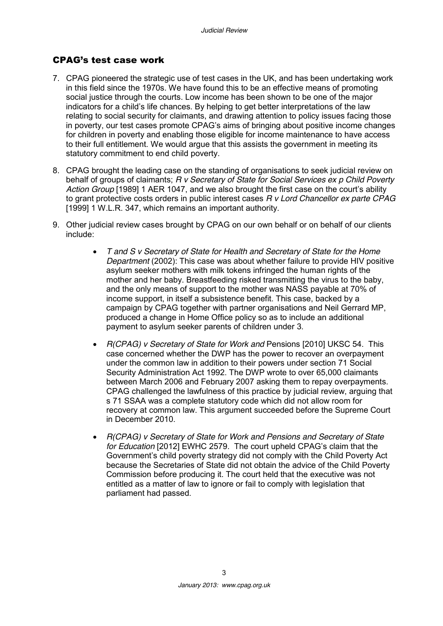#### CPAG's test case work

- 7. CPAG pioneered the strategic use of test cases in the UK, and has been undertaking work in this field since the 1970s. We have found this to be an effective means of promoting social justice through the courts. Low income has been shown to be one of the major indicators for a child's life chances. By helping to get better interpretations of the law relating to social security for claimants, and drawing attention to policy issues facing those in poverty, our test cases promote CPAG's aims of bringing about positive income changes for children in poverty and enabling those eligible for income maintenance to have access to their full entitlement. We would argue that this assists the government in meeting its statutory commitment to end child poverty.
- 8. CPAG brought the leading case on the standing of organisations to seek judicial review on behalf of groups of claimants; *R v Secretary of State for Social Services ex p Child Poverty Action Group* [1989] 1 AER 1047, and we also brought the first case on the court's ability to grant protective costs orders in public interest cases *R v Lord Chancellor ex parte CPAG* [1999] 1 W.L.R. 347, which remains an important authority.
- 9. Other judicial review cases brought by CPAG on our own behalf or on behalf of our clients include:
	- *T and S v Secretary of State for Health and Secretary of State for the Home Department* (2002): This case was about whether failure to provide HIV positive asylum seeker mothers with milk tokens infringed the human rights of the mother and her baby. Breastfeeding risked transmitting the virus to the baby, and the only means of support to the mother was NASS payable at 70% of income support, in itself a subsistence benefit. This case, backed by a campaign by CPAG together with partner organisations and Neil Gerrard MP, produced a change in Home Office policy so as to include an additional payment to asylum seeker parents of children under 3.
	- *R(CPAG) v Secretary of State for Work and* Pensions [2010] UKSC 54. This case concerned whether the DWP has the power to recover an overpayment under the common law in addition to their powers under section 71 Social Security Administration Act 1992. The DWP wrote to over 65,000 claimants between March 2006 and February 2007 asking them to repay overpayments. CPAG challenged the lawfulness of this practice by judicial review, arguing that s 71 SSAA was a complete statutory code which did not allow room for recovery at common law. This argument succeeded before the Supreme Court in December 2010.
	- *R(CPAG) v Secretary of State for Work and Pensions and Secretary of State for Education* [2012] EWHC 2579. The court upheld CPAG's claim that the Government's child poverty strategy did not comply with the Child Poverty Act because the Secretaries of State did not obtain the advice of the Child Poverty Commission before producing it. The court held that the executive was not entitled as a matter of law to ignore or fail to comply with legislation that parliament had passed.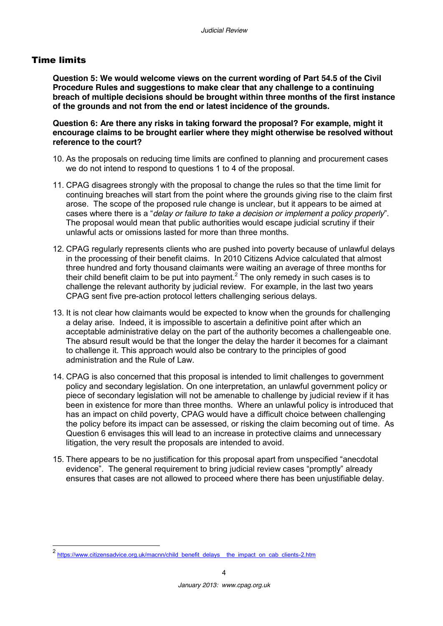#### Time limits

**Question 5: We would welcome views on the current wording of Part 54.5 of the Civil Procedure Rules and suggestions to make clear that any challenge to a continuing breach of multiple decisions should be brought within three months of the first instance of the grounds and not from the end or latest incidence of the grounds.**

**Question 6: Are there any risks in taking forward the proposal? For example, might it encourage claims to be brought earlier where they might otherwise be resolved without reference to the court?**

- 10. As the proposals on reducing time limits are confined to planning and procurement cases we do not intend to respond to questions 1 to 4 of the proposal.
- 11. CPAG disagrees strongly with the proposal to change the rules so that the time limit for continuing breaches will start from the point where the grounds giving rise to the claim first arose. The scope of the proposed rule change is unclear, but it appears to be aimed at cases where there is a "*delay or failure to take a decision or implement a policy properly*". The proposal would mean that public authorities would escape judicial scrutiny if their unlawful acts or omissions lasted for more than three months.
- 12. CPAG regularly represents clients who are pushed into poverty because of unlawful delays in the processing of their benefit claims. In 2010 Citizens Advice calculated that almost three hundred and forty thousand claimants were waiting an average of three months for their child benefit claim to be put into payment.<sup>2</sup> The only remedy in such cases is to challenge the relevant authority by judicial review. For example, in the last two years CPAG sent five pre-action protocol letters challenging serious delays.
- 13. It is not clear how claimants would be expected to know when the grounds for challenging a delay arise. Indeed, it is impossible to ascertain a definitive point after which an acceptable administrative delay on the part of the authority becomes a challengeable one. The absurd result would be that the longer the delay the harder it becomes for a claimant to challenge it. This approach would also be contrary to the principles of good administration and the Rule of Law.
- 14. CPAG is also concerned that this proposal is intended to limit challenges to government policy and secondary legislation. On one interpretation, an unlawful government policy or piece of secondary legislation will not be amenable to challenge by judicial review if it has been in existence for more than three months. Where an unlawful policy is introduced that has an impact on child poverty, CPAG would have a difficult choice between challenging the policy before its impact can be assessed, or risking the claim becoming out of time. As Question 6 envisages this will lead to an increase in protective claims and unnecessary litigation, the very result the proposals are intended to avoid.
- 15. There appears to be no justification for this proposal apart from unspecified "anecdotal evidence". The general requirement to bring judicial review cases "promptly" already ensures that cases are not allowed to proceed where there has been unjustifiable delay.

<sup>2&</sup>lt;br>[https://www.citizensadvice.org.uk/macnn/child\\_benefit\\_delays\\_\\_the\\_impact\\_on\\_cab\\_clients-2.htm](https://www.citizensadvice.org.uk/macnn/child_benefit_delays__the_impact_on_cab_clients-2.htm)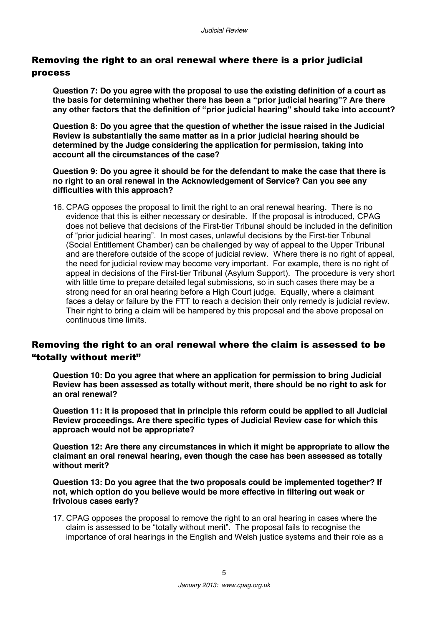### Removing the right to an oral renewal where there is a prior judicial process

**Question 7: Do you agree with the proposal to use the existing definition of a court as the basis for determining whether there has been a "prior judicial hearing"? Are there any other factors that the definition of "prior judicial hearing" should take into account?**

**Question 8: Do you agree that the question of whether the issue raised in the Judicial Review is substantially the same matter as in a prior judicial hearing should be determined by the Judge considering the application for permission, taking into account all the circumstances of the case?**

**Question 9: Do you agree it should be for the defendant to make the case that there is no right to an oral renewal in the Acknowledgement of Service? Can you see any difficulties with this approach?**

16. CPAG opposes the proposal to limit the right to an oral renewal hearing. There is no evidence that this is either necessary or desirable. If the proposal is introduced, CPAG does not believe that decisions of the First-tier Tribunal should be included in the definition of "prior judicial hearing". In most cases, unlawful decisions by the First-tier Tribunal (Social Entitlement Chamber) can be challenged by way of appeal to the Upper Tribunal and are therefore outside of the scope of judicial review. Where there is no right of appeal, the need for judicial review may become very important. For example, there is no right of appeal in decisions of the First-tier Tribunal (Asylum Support). The procedure is very short with little time to prepare detailed legal submissions, so in such cases there may be a strong need for an oral hearing before a High Court judge. Equally, where a claimant faces a delay or failure by the FTT to reach a decision their only remedy is judicial review. Their right to bring a claim will be hampered by this proposal and the above proposal on continuous time limits.

## Removing the right to an oral renewal where the claim is assessed to be "totally without merit"

**Question 10: Do you agree that where an application for permission to bring Judicial Review has been assessed as totally without merit, there should be no right to ask for an oral renewal?**

**Question 11: It is proposed that in principle this reform could be applied to all Judicial Review proceedings. Are there specific types of Judicial Review case for which this approach would not be appropriate?**

**Question 12: Are there any circumstances in which it might be appropriate to allow the claimant an oral renewal hearing, even though the case has been assessed as totally without merit?**

**Question 13: Do you agree that the two proposals could be implemented together? If not, which option do you believe would be more effective in filtering out weak or frivolous cases early?**

17. CPAG opposes the proposal to remove the right to an oral hearing in cases where the claim is assessed to be "totally without merit". The proposal fails to recognise the importance of oral hearings in the English and Welsh justice systems and their role as a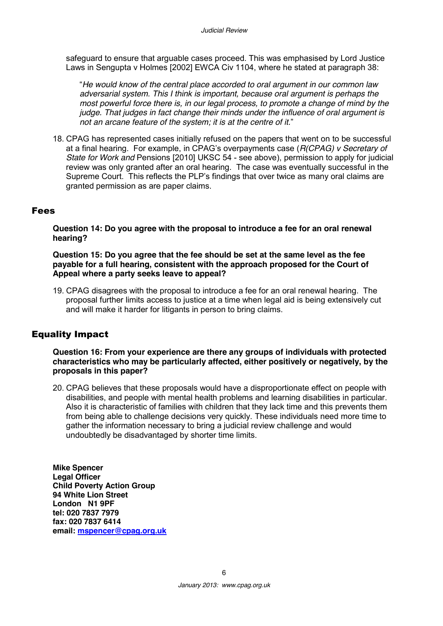safeguard to ensure that arguable cases proceed. This was emphasised by Lord Justice Laws in Sengupta v Holmes [2002] EWCA Civ 1104, where he stated at paragraph 38:

"*He would know of the central place accorded to oral argument in our common law adversarial system. This I think is important, because oral argument is perhaps the most powerful force there is, in our legal process, to promote a change of mind by the judge. That judges in fact change their minds under the influence of oral argument is not an arcane feature of the system; it is at the centre of it.*"

18. CPAG has represented cases initially refused on the papers that went on to be successful at a final hearing. For example, in CPAG's overpayments case (*R(CPAG) v Secretary of State for Work and* Pensions [2010] UKSC 54 - see above), permission to apply for judicial review was only granted after an oral hearing. The case was eventually successful in the Supreme Court. This reflects the PLP's findings that over twice as many oral claims are granted permission as are paper claims.

#### Fees

**Question 14: Do you agree with the proposal to introduce a fee for an oral renewal hearing?**

#### **Question 15: Do you agree that the fee should be set at the same level as the fee payable for a full hearing, consistent with the approach proposed for the Court of Appeal where a party seeks leave to appeal?**

19. CPAG disagrees with the proposal to introduce a fee for an oral renewal hearing. The proposal further limits access to justice at a time when legal aid is being extensively cut and will make it harder for litigants in person to bring claims.

#### Equality Impact

**Question 16: From your experience are there any groups of individuals with protected characteristics who may be particularly affected, either positively or negatively, by the proposals in this paper?**

20. CPAG believes that these proposals would have a disproportionate effect on people with disabilities, and people with mental health problems and learning disabilities in particular. Also it is characteristic of families with children that they lack time and this prevents them from being able to challenge decisions very quickly. These individuals need more time to gather the information necessary to bring a judicial review challenge and would undoubtedly be disadvantaged by shorter time limits.

**Mike Spencer Legal Officer Child Poverty Action Group 94 White Lion Street London N1 9PF tel: 020 7837 7979 fax: 020 7837 6414 email: [mspencer@cpag.org.uk](mailto:mspencer@cpag.org.uk)**